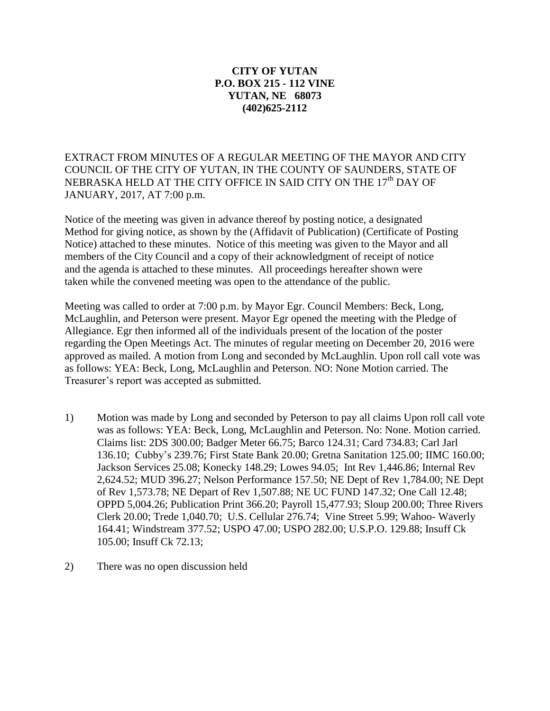## **CITY OF YUTAN P.O. BOX 215 - 112 VINE YUTAN, NE 68073 (402)625-2112**

EXTRACT FROM MINUTES OF A REGULAR MEETING OF THE MAYOR AND CITY COUNCIL OF THE CITY OF YUTAN, IN THE COUNTY OF SAUNDERS, STATE OF NEBRASKA HELD AT THE CITY OFFICE IN SAID CITY ON THE 17<sup>th</sup> DAY OF JANUARY, 2017, AT 7:00 p.m.

Notice of the meeting was given in advance thereof by posting notice, a designated Method for giving notice, as shown by the (Affidavit of Publication) (Certificate of Posting Notice) attached to these minutes. Notice of this meeting was given to the Mayor and all members of the City Council and a copy of their acknowledgment of receipt of notice and the agenda is attached to these minutes. All proceedings hereafter shown were taken while the convened meeting was open to the attendance of the public.

Meeting was called to order at 7:00 p.m. by Mayor Egr. Council Members: Beck, Long, McLaughlin, and Peterson were present. Mayor Egr opened the meeting with the Pledge of Allegiance. Egr then informed all of the individuals present of the location of the poster regarding the Open Meetings Act. The minutes of regular meeting on December 20, 2016 were approved as mailed. A motion from Long and seconded by McLaughlin. Upon roll call vote was as follows: YEA: Beck, Long, McLaughlin and Peterson. NO: None Motion carried. The Treasurer's report was accepted as submitted.

- 1) Motion was made by Long and seconded by Peterson to pay all claims Upon roll call vote was as follows: YEA: Beck, Long, McLaughlin and Peterson. No: None. Motion carried. Claims list: 2DS 300.00; Badger Meter 66.75; Barco 124.31; Card 734.83; Carl Jarl 136.10; Cubby's 239.76; First State Bank 20.00; Gretna Sanitation 125.00; IIMC 160.00; Jackson Services 25.08; Konecky 148.29; Lowes 94.05; Int Rev 1,446.86; Internal Rev 2,624.52; MUD 396.27; Nelson Performance 157.50; NE Dept of Rev 1,784.00; NE Dept of Rev 1,573.78; NE Depart of Rev 1,507.88; NE UC FUND 147.32; One Call 12.48; OPPD 5,004.26; Publication Print 366.20; Payroll 15,477.93; Sloup 200.00; Three Rivers Clerk 20.00; Trede 1,040.70; U.S. Cellular 276.74; Vine Street 5.99; Wahoo- Waverly 164.41; Windstream 377.52; USPO 47.00; USPO 282.00; U.S.P.O. 129.88; Insuff Ck 105.00; Insuff Ck 72.13;
- 2) There was no open discussion held